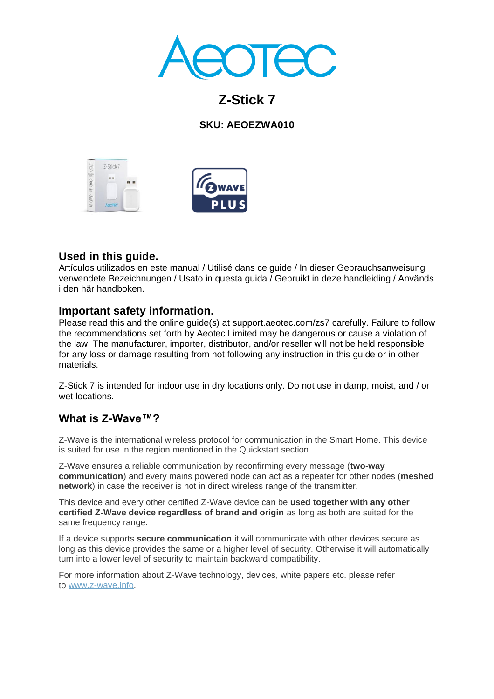

# **Z-Stick 7**

## **SKU: AEOEZWA010**





# **Used in this guide.**

Artículos utilizados en este manual / Utilisé dans ce guide / In dieser Gebrauchsanweisung verwendete Bezeichnungen / Usato in questa guida / Gebruikt in deze handleiding / Används i den här handboken.

## **Important safety information.**

Please read this and the online guide(s) at support.aeotec.com/zs7 carefully. Failure to follow the recommendations set forth by Aeotec Limited may be dangerous or cause a violation of the law. The manufacturer, importer, distributor, and/or reseller will not be held responsible for any loss or damage resulting from not following any instruction in this guide or in other materials.

Z-Stick 7 is intended for indoor use in dry locations only. Do not use in damp, moist, and / or wet locations.

# **What is Z-Wave™?**

Z-Wave is the international wireless protocol for communication in the Smart Home. This device is suited for use in the region mentioned in the Quickstart section.

Z-Wave ensures a reliable communication by reconfirming every message (**two-way communication**) and every mains powered node can act as a repeater for other nodes (**meshed network**) in case the receiver is not in direct wireless range of the transmitter.

This device and every other certified Z-Wave device can be **used together with any other certified Z-Wave device regardless of brand and origin** as long as both are suited for the same frequency range.

If a device supports **secure communication** it will communicate with other devices secure as long as this device provides the same or a higher level of security. Otherwise it will automatically turn into a lower level of security to maintain backward compatibility.

For more information about Z-Wave technology, devices, white papers etc. please refer to [www.z-wave.info.](https://www.z-wave.info/)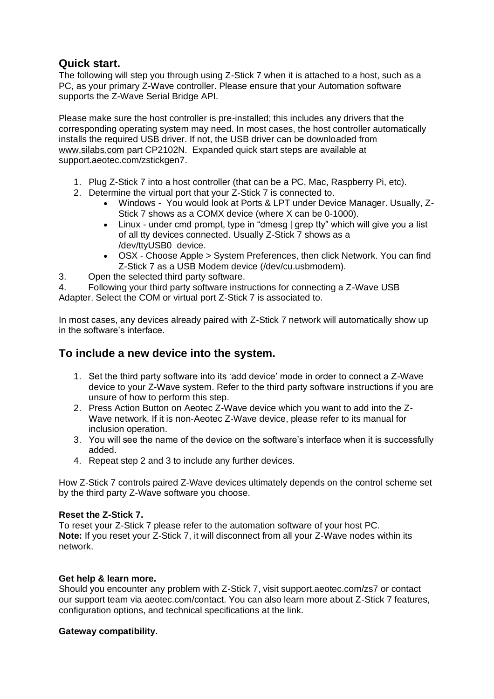## **Quick start.**

The following will step you through using Z-Stick 7 when it is attached to a host, such as a PC, as your primary Z-Wave controller. Please ensure that your Automation software supports the Z-Wave Serial Bridge API.

Please make sure the host controller is pre-installed; this includes any drivers that the corresponding operating system may need. In most cases, the host controller automatically installs the required USB driver. If not, the USB driver can be downloaded from [www.silabs.com](http://www.silabs.com/) part CP2102N. Expanded quick start steps are available at support.aeotec.com/zstickgen7.

- 1. Plug Z-Stick 7 into a host controller (that can be a PC, Mac, Raspberry Pi, etc).
- 2. Determine the virtual port that your Z-Stick 7 is connected to.
	- Windows You would look at Ports & LPT under Device Manager. Usually, Z-Stick 7 shows as a COMX device (where X can be 0-1000).
	- Linux under cmd prompt, type in "dmesg | grep tty" which will give you a list of all tty devices connected. Usually Z-Stick 7 shows as a /dev/ttyUSB0 device.
	- OSX Choose Apple > System Preferences, then click Network. You can find Z-Stick 7 as a USB Modem device (/dev/cu.usbmodem).
- 3. Open the selected third party software.
- 4. Following your third party software instructions for connecting a Z-Wave USB

Adapter. Select the COM or virtual port Z-Stick 7 is associated to.

In most cases, any devices already paired with Z-Stick 7 network will automatically show up in the software's interface.

# **To include a new device into the system.**

- 1. Set the third party software into its 'add device' mode in order to connect a Z-Wave device to your Z-Wave system. Refer to the third party software instructions if you are unsure of how to perform this step.
- 2. Press Action Button on Aeotec Z-Wave device which you want to add into the Z-Wave network. If it is non-Aeotec Z-Wave device, please refer to its manual for inclusion operation.
- 3. You will see the name of the device on the software's interface when it is successfully added.
- 4. Repeat step 2 and 3 to include any further devices.

How Z-Stick 7 controls paired Z-Wave devices ultimately depends on the control scheme set by the third party Z-Wave software you choose.

#### **Reset the Z-Stick 7.**

To reset your Z-Stick 7 please refer to the automation software of your host PC. **Note:** If you reset your Z-Stick 7, it will disconnect from all your Z-Wave nodes within its network.

#### **Get help & learn more.**

Should you encounter any problem with Z-Stick 7, visit support.aeotec.com/zs7 or contact our support team via aeotec.com/contact. You can also learn more about Z-Stick 7 features, configuration options, and technical specifications at the link.

#### **Gateway compatibility.**